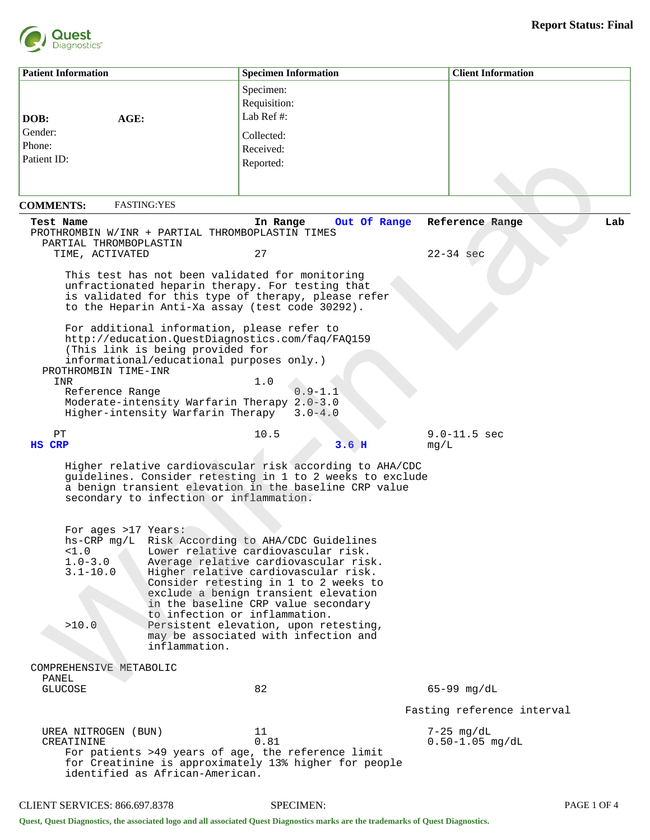

| <b>Patient Information</b>                                                                          | <b>Specimen Information</b>                                                                                                                                                     | <b>Client Information</b>  |
|-----------------------------------------------------------------------------------------------------|---------------------------------------------------------------------------------------------------------------------------------------------------------------------------------|----------------------------|
|                                                                                                     |                                                                                                                                                                                 |                            |
|                                                                                                     | Specimen:                                                                                                                                                                       |                            |
|                                                                                                     | Requisition:                                                                                                                                                                    |                            |
| AGE:<br>DOB:                                                                                        | Lab Ref#:                                                                                                                                                                       |                            |
| Gender:                                                                                             | Collected:                                                                                                                                                                      |                            |
| Phone:                                                                                              | Received:                                                                                                                                                                       |                            |
| Patient ID:                                                                                         |                                                                                                                                                                                 |                            |
|                                                                                                     | Reported:                                                                                                                                                                       |                            |
|                                                                                                     |                                                                                                                                                                                 |                            |
| <b>FASTING:YES</b><br><b>COMMENTS:</b>                                                              |                                                                                                                                                                                 |                            |
| Test Name                                                                                           | Out Of Range                                                                                                                                                                    | Lab<br>Reference Range     |
| PROTHROMBIN W/INR + PARTIAL THROMBOPLASTIN TIMES                                                    | In Range                                                                                                                                                                        |                            |
| PARTIAL THROMBOPLASTIN                                                                              |                                                                                                                                                                                 |                            |
| TIME, ACTIVATED                                                                                     | 27                                                                                                                                                                              | $22-34$ sec                |
|                                                                                                     |                                                                                                                                                                                 |                            |
| This test has not been validated for monitoring<br>unfractionated heparin therapy. For testing that |                                                                                                                                                                                 |                            |
|                                                                                                     | is validated for this type of therapy, please refer                                                                                                                             |                            |
| to the Heparin Anti-Xa assay (test code 30292).                                                     |                                                                                                                                                                                 |                            |
|                                                                                                     |                                                                                                                                                                                 |                            |
| For additional information, please refer to                                                         |                                                                                                                                                                                 |                            |
| http://education.QuestDiagnostics.com/faq/FAQ159<br>(This link is being provided for                |                                                                                                                                                                                 |                            |
| informational/educational purposes only.)                                                           |                                                                                                                                                                                 |                            |
| PROTHROMBIN TIME-INR                                                                                |                                                                                                                                                                                 |                            |
| <b>INR</b>                                                                                          | 1.0                                                                                                                                                                             |                            |
| Reference Range                                                                                     | $0.9 - 1.1$                                                                                                                                                                     |                            |
| Moderate-intensity Warfarin Therapy 2.0-3.0                                                         |                                                                                                                                                                                 |                            |
| Higher-intensity Warfarin Therapy                                                                   | $3.0 - 4.0$                                                                                                                                                                     |                            |
| PT                                                                                                  | 10.5                                                                                                                                                                            | $9.0 - 11.5$ sec           |
| <b>HS CRP</b>                                                                                       | 3.6 <sub>H</sub>                                                                                                                                                                | mq/L                       |
| secondary to infection or inflammation.                                                             | Higher relative cardiovascular risk according to AHA/CDC<br>guidelines. Consider retesting in 1 to 2 weeks to exclude<br>a benign transient elevation in the baseline CRP value |                            |
|                                                                                                     |                                                                                                                                                                                 |                            |
| For ages >17 Years:<br>$hs-CRP$ mg/L                                                                | Risk According to AHA/CDC Guidelines                                                                                                                                            |                            |
| 1.0                                                                                                 | Lower relative cardiovascular risk.                                                                                                                                             |                            |
| $1.0 - 3.0$                                                                                         | Average relative cardiovascular risk.                                                                                                                                           |                            |
| $3.1 - 10.0$                                                                                        | Higher relative cardiovascular risk.                                                                                                                                            |                            |
|                                                                                                     | Consider retesting in 1 to 2 weeks to                                                                                                                                           |                            |
|                                                                                                     | exclude a benign transient elevation<br>in the baseline CRP value secondary                                                                                                     |                            |
|                                                                                                     | to infection or inflammation.                                                                                                                                                   |                            |
| >10.0                                                                                               | Persistent elevation, upon retesting,                                                                                                                                           |                            |
|                                                                                                     | may be associated with infection and                                                                                                                                            |                            |
| inflammation.                                                                                       |                                                                                                                                                                                 |                            |
| COMPREHENSIVE METABOLIC                                                                             |                                                                                                                                                                                 |                            |
| PANEL                                                                                               |                                                                                                                                                                                 |                            |
| GLUCOSE                                                                                             | 82                                                                                                                                                                              | $65 - 99$ mg/dL            |
|                                                                                                     |                                                                                                                                                                                 | Fasting reference interval |
|                                                                                                     |                                                                                                                                                                                 |                            |
| UREA NITROGEN (BUN)                                                                                 | 11<br>0.81                                                                                                                                                                      | $7-25$ mg/dL               |
| CREATININE                                                                                          | For patients >49 years of age, the reference limit                                                                                                                              | $0.50 - 1.05$ mg/dL        |
|                                                                                                     | for Creatinine is approximately 13% higher for people                                                                                                                           |                            |
| identified as African-American.                                                                     |                                                                                                                                                                                 |                            |
|                                                                                                     |                                                                                                                                                                                 |                            |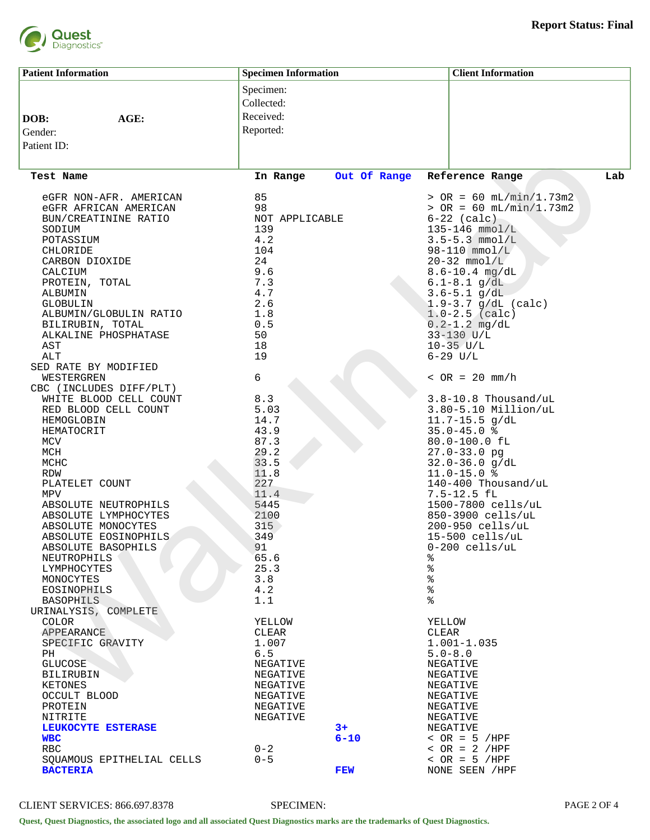

| <b>Patient Information</b>        | <b>Specimen Information</b> |              | <b>Client Information</b>                    |     |  |
|-----------------------------------|-----------------------------|--------------|----------------------------------------------|-----|--|
|                                   | Specimen:                   |              |                                              |     |  |
|                                   | Collected:                  |              |                                              |     |  |
| AGE:<br>DOB:                      | Received:                   |              |                                              |     |  |
| Gender:                           | Reported:                   |              |                                              |     |  |
|                                   |                             |              |                                              |     |  |
| Patient ID:                       |                             |              |                                              |     |  |
| Test Name                         | In Range                    | Out Of Range | Reference Range                              | Lab |  |
| eGFR NON-AFR. AMERICAN            | 85                          |              | $>$ OR = 60 mL/min/1.73m2                    |     |  |
| eGFR AFRICAN AMERICAN             | 98                          |              | $>$ OR = 60 mL/min/1.73m2                    |     |  |
| BUN/CREATININE RATIO              | NOT APPLICABLE              |              | $6-22$ (calc)                                |     |  |
| SODIUM                            | 139                         |              | $135 - 146$ mmol/L                           |     |  |
| POTASSIUM                         | 4.2                         |              | $3.5 - 5.3$ mmol/L                           |     |  |
| CHLORIDE                          | 104                         |              | $98 - 110$ mmol/L                            |     |  |
| CARBON DIOXIDE<br>CALCIUM         | 24<br>9.6                   |              | $20-32$ mmol/L<br>$8.6 - 10.4$ mg/dL         |     |  |
| PROTEIN, TOTAL                    | 7.3                         |              | $6.1 - 8.1$ g/dL                             |     |  |
| ALBUMIN                           | 4.7                         |              | $3.6 - 5.1$ g/dL                             |     |  |
| GLOBULIN                          | 2.6                         |              | $1.9 - 3.7$ g/dL (calc)                      |     |  |
| ALBUMIN/GLOBULIN RATIO            | 1.8                         |              | $1.0 - 2.5$ (calc)                           |     |  |
| BILIRUBIN, TOTAL                  | 0.5                         |              | $0.2 - 1.2$ mg/dL                            |     |  |
| ALKALINE PHOSPHATASE              | 50                          |              | $33 - 130$ $U/L$                             |     |  |
| AST                               | 18                          |              | $10 - 35$ $U/L$                              |     |  |
| ALT<br>SED RATE BY MODIFIED       | 19                          |              | $6 - 29$ $U/L$                               |     |  |
| WESTERGREN                        | 6                           |              | $~ <$ OR = 20 mm/h                           |     |  |
| CBC (INCLUDES DIFF/PLT)           |                             |              |                                              |     |  |
| WHITE BLOOD CELL COUNT            | 8.3                         |              | $3.8 - 10.8$ Thousand/uL                     |     |  |
| RED BLOOD CELL COUNT              | 5.03                        |              | $3.80 - 5.10$ Million/uL                     |     |  |
| HEMOGLOBIN                        | 14.7                        |              | $11.7 - 15.5$ g/dL                           |     |  |
| HEMATOCRIT                        | 43.9                        |              | $35.0 - 45.0$ %                              |     |  |
| MCV                               | 87.3                        |              | $80.0 - 100.0$ fl                            |     |  |
| MCH<br>MCHC                       | 29.2                        |              | $27.0 - 33.0$ pq                             |     |  |
| RDW                               | 33.5<br>11.8                |              | $32.0 - 36.0$ g/dL<br>$11.0 - 15.0$ %        |     |  |
| PLATELET COUNT                    | 227                         |              | 140-400 Thousand/uL                          |     |  |
| MPV                               | 11.4                        |              | $7.5 - 12.5$ fl                              |     |  |
| ABSOLUTE NEUTROPHILS              | 5445                        |              | 1500-7800 cells/uL                           |     |  |
| ABSOLUTE LYMPHOCYTES              | 2100                        |              | 850-3900 cells/uL                            |     |  |
| ABSOLUTE MONOCYTES                | 315                         |              | 200-950 cells/uL                             |     |  |
| ABSOLUTE EOSINOPHILS              | 349                         |              | 15-500 cells/uL                              |     |  |
| ABSOLUTE BASOPHILS<br>NEUTROPHILS | 91<br>65.6                  |              | $0-200$ cells/uL<br>°≈                       |     |  |
| LYMPHOCYTES                       | 25.3                        |              | ႜ                                            |     |  |
| MONOCYTES                         | 3.8                         |              | $\,$ $\,$                                    |     |  |
| EOSINOPHILS                       | 4.2                         |              | $\,$ $\,$                                    |     |  |
| <b>BASOPHILS</b>                  | 1.1                         |              | ిక                                           |     |  |
| URINALYSIS, COMPLETE              |                             |              |                                              |     |  |
| COLOR                             | YELLOW                      |              | YELLOW                                       |     |  |
| APPEARANCE                        | CLEAR                       |              | CLEAR                                        |     |  |
| SPECIFIC GRAVITY<br>PH            | 1.007<br>6.5                |              | $1.001 - 1.035$<br>$5.0 - 8.0$               |     |  |
| <b>GLUCOSE</b>                    | NEGATIVE                    |              | NEGATIVE                                     |     |  |
| BILIRUBIN                         | NEGATIVE                    |              | NEGATIVE                                     |     |  |
| KETONES                           | NEGATIVE                    |              | NEGATIVE                                     |     |  |
| OCCULT BLOOD                      | NEGATIVE                    |              | NEGATIVE                                     |     |  |
| PROTEIN                           | NEGATIVE                    |              | NEGATIVE                                     |     |  |
| NITRITE                           | NEGATIVE                    |              | NEGATIVE                                     |     |  |
| LEUKOCYTE ESTERASE                |                             | $3+$         | NEGATIVE                                     |     |  |
| <b>WBC</b><br><b>RBC</b>          | $0 - 2$                     | $6 - 10$     | $\angle$ OR = 5 /HPF<br>$\angle$ OR = 2 /HPF |     |  |
| SQUAMOUS EPITHELIAL CELLS         | $0 - 5$                     |              | $~<$ OR = 5 /HPF                             |     |  |
| <b>BACTERIA</b>                   |                             | FEW          | NONE SEEN / HPF                              |     |  |

## CLIENT SERVICES: 866.697.8378 SPECIMEN: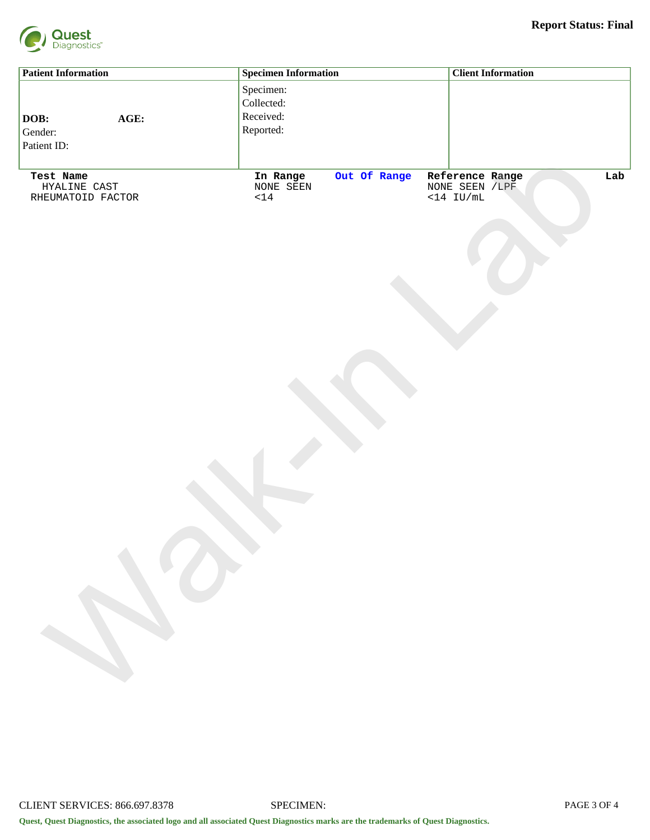

| <b>Patient Information</b>                     | <b>Specimen Information</b>                       | <b>Client Information</b>                                          |
|------------------------------------------------|---------------------------------------------------|--------------------------------------------------------------------|
| AGE:<br>DOB:<br>Gender:<br>Patient ID:         | Specimen:<br>Collected:<br>Received:<br>Reported: |                                                                    |
| Test Name<br>HYALINE CAST<br>RHEUMATOID FACTOR | Out Of Range<br>In Range<br>NONE SEEN<br>$<\!14$  | $_{\rm Lab}$<br>Reference Range<br>NONE SEEN / LPF<br>$<$ 14 IU/mL |
|                                                |                                                   |                                                                    |